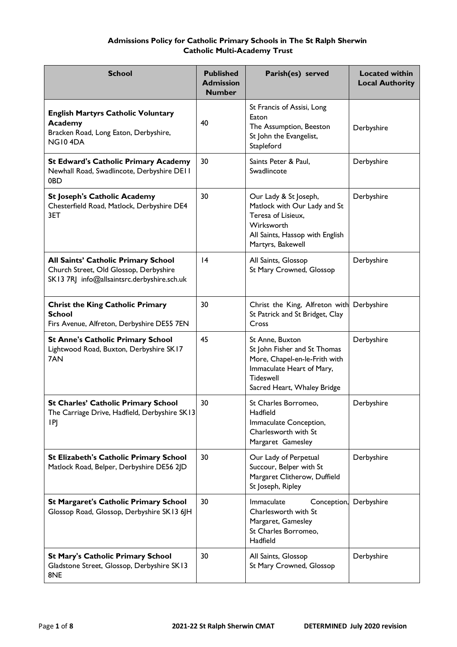# **Admissions Policy for Catholic Primary Schools in The St Ralph Sherwin Catholic Multi-Academy Trust**

| <b>School</b>                                                                                                                | <b>Published</b><br><b>Admission</b><br><b>Number</b> | Parish(es) served                                                                                                                                                | <b>Located within</b><br><b>Local Authority</b> |
|------------------------------------------------------------------------------------------------------------------------------|-------------------------------------------------------|------------------------------------------------------------------------------------------------------------------------------------------------------------------|-------------------------------------------------|
| <b>English Martyrs Catholic Voluntary</b><br><b>Academy</b><br>Bracken Road, Long Eaton, Derbyshire,<br>NG104DA              | 40                                                    | St Francis of Assisi, Long<br>Eaton<br>The Assumption, Beeston<br>St John the Evangelist,<br>Stapleford                                                          | Derbyshire                                      |
| <b>St Edward's Catholic Primary Academy</b><br>Newhall Road, Swadlincote, Derbyshire DEII<br>0BD                             | 30                                                    | Saints Peter & Paul,<br>Swadlincote                                                                                                                              | Derbyshire                                      |
| <b>St Joseph's Catholic Academy</b><br>Chesterfield Road, Matlock, Derbyshire DE4<br>3ET                                     | 30                                                    | Our Lady & St Joseph,<br>Matlock with Our Lady and St<br>Teresa of Lisieux,<br>Wirksworth<br>All Saints, Hassop with English<br>Martyrs, Bakewell                | Derbyshire                                      |
| All Saints' Catholic Primary School<br>Church Street, Old Glossop, Derbyshire<br>SK13 7RJ info@allsaintsrc.derbyshire.sch.uk | 4                                                     | All Saints, Glossop<br>St Mary Crowned, Glossop                                                                                                                  | Derbyshire                                      |
| <b>Christ the King Catholic Primary</b><br><b>School</b><br>Firs Avenue, Alfreton, Derbyshire DE55 7EN                       | 30                                                    | Christ the King, Alfreton with<br>St Patrick and St Bridget, Clay<br>Cross                                                                                       | Derbyshire                                      |
| <b>St Anne's Catholic Primary School</b><br>Lightwood Road, Buxton, Derbyshire SK17<br>7AN                                   | 45                                                    | St Anne, Buxton<br>St John Fisher and St Thomas<br>More, Chapel-en-le-Frith with<br>Immaculate Heart of Mary,<br><b>Tideswell</b><br>Sacred Heart, Whaley Bridge | Derbyshire                                      |
| <b>St Charles' Catholic Primary School</b><br>The Carriage Drive, Hadfield, Derbyshire SK13<br>IPJ                           | 30                                                    | St Charles Borromeo,<br>Hadfield<br>Immaculate Conception,<br>Charlesworth with St<br>Margaret Gamesley                                                          | Derbyshire                                      |
| St Elizabeth's Catholic Primary School<br>Matlock Road, Belper, Derbyshire DE56 2JD                                          | 30                                                    | Our Lady of Perpetual<br>Succour, Belper with St<br>Margaret Clitherow, Duffield<br>St Joseph, Ripley                                                            | Derbyshire                                      |
| <b>St Margaret's Catholic Primary School</b><br>Glossop Road, Glossop, Derbyshire SK13 6JH                                   | 30                                                    | Immaculate<br>Conception,<br>Charlesworth with St<br>Margaret, Gamesley<br>St Charles Borromeo,<br>Hadfield                                                      | Derbyshire                                      |
| <b>St Mary's Catholic Primary School</b><br>Gladstone Street, Glossop, Derbyshire SK13<br>8NE                                | 30                                                    | All Saints, Glossop<br>St Mary Crowned, Glossop                                                                                                                  | Derbyshire                                      |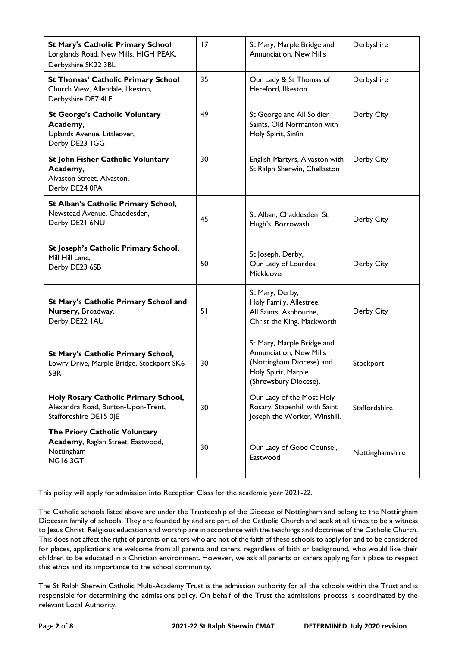| <b>St Mary's Catholic Primary School</b>                                                             | 17 | St Mary, Marple Bridge and<br>Annunciation, New Mills                                                                             | Derbyshire      |
|------------------------------------------------------------------------------------------------------|----|-----------------------------------------------------------------------------------------------------------------------------------|-----------------|
| Longlands Road, New Mills, HIGH PEAK,<br>Derbyshire SK22 3BL                                         |    |                                                                                                                                   |                 |
| <b>St Thomas' Catholic Primary School</b><br>Church View, Allendale, Ilkeston,<br>Derbyshire DE7 4LF | 35 | Our Lady & St Thomas of<br>Hereford, Ilkeston                                                                                     | Derbyshire      |
| <b>St George's Catholic Voluntary</b><br>Academy,<br>Uplands Avenue, Littleover,<br>Derby DE23 IGG   | 49 | St George and All Soldier<br>Saints, Old Normanton with<br>Holy Spirit, Sinfin                                                    | Derby City      |
| St John Fisher Catholic Voluntary<br>Academy,<br>Alvaston Street, Alvaston,<br>Derby DE24 0PA        | 30 | English Martyrs, Alvaston with<br>St Ralph Sherwin, Chellaston                                                                    | Derby City      |
| St Alban's Catholic Primary School,<br>Newstead Avenue, Chaddesden,<br>Derby DE21 6NU                | 45 | St Alban, Chaddesden St<br>Hugh's, Borrowash                                                                                      | Derby City      |
| St Joseph's Catholic Primary School,<br>Mill Hill Lane,<br>Derby DE23 6SB                            | 50 | St Joseph, Derby,<br>Our Lady of Lourdes,<br>Mickleover                                                                           | Derby City      |
| St Mary's Catholic Primary School and<br>Nursery, Broadway,<br>Derby DE22 IAU                        | 51 | St Mary, Derby,<br>Holy Family, Allestree,<br>All Saints, Ashbourne,<br>Christ the King, Mackworth                                | Derby City      |
| St Mary's Catholic Primary School,<br>Lowry Drive, Marple Bridge, Stockport SK6<br>5BR               | 30 | St Mary, Marple Bridge and<br>Annunciation, New Mills<br>(Nottingham Diocese) and<br>Holy Spirit, Marple<br>(Shrewsbury Diocese). | Stockport       |
| Holy Rosary Catholic Primary School,<br>Alexandra Road, Burton-Upon-Trent,<br>Staffordshire DE15 0JE | 30 | Our Lady of the Most Holy<br>Rosary, Stapenhill with Saint<br>Joseph the Worker, Winshill.                                        | Staffordshire   |
| The Priory Catholic Voluntary<br>Academy, Raglan Street, Eastwood,<br>Nottingham<br><b>NG163GT</b>   | 30 | Our Lady of Good Counsel,<br>Eastwood                                                                                             | Nottinghamshire |

This policy will apply for admission into Reception Class for the academic year 2021-22.

The Catholic schools listed above are under the Trusteeship of the Diocese of Nottingham and belong to the Nottingham Diocesan family of schools. They are founded by and are part of the Catholic Church and seek at all times to be a witness to Jesus Christ. Religious education and worship are in accordance with the teachings and doctrines of the Catholic Church. This does not affect the right of parents or carers who are not of the faith of these schools to apply for and to be considered for places, applications are welcome from all parents and carers, regardless of faith or background, who would like their children to be educated in a Christian environment. However, we ask all parents or carers applying for a place to respect this ethos and its importance to the school community.

The St Ralph Sherwin Catholic Multi-Academy Trust is the admission authority for all the schools within the Trust and is responsible for determining the admissions policy. On behalf of the Trust the admissions process is coordinated by the relevant Local Authority.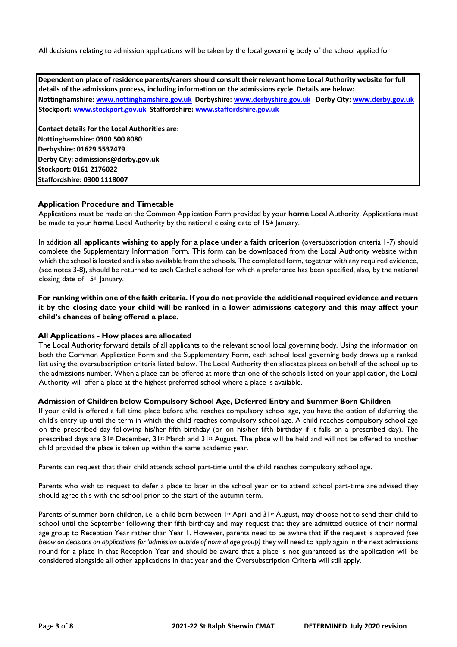All decisions relating to admission applications will be taken by the local governing body of the school applied for.

**Dependent on place of residence parents/carers should consult their relevant home Local Authority website for full details of the admissions process, including information on the admissions cycle. Details are below: Nottinghamshire: [www.nottinghamshire.gov.uk De](http://www.nottinghamshire.gov.uk/)rbyshire[: www.derbyshire.gov.uk De](http://www.derbyshire.gov.uk/)rby Cit[y: www.derby.gov.uk](http://www.derby.gov.uk/) Stockpor[t:](http://www.stockport.gov.uk/) [www.stockport.gov.uk St](http://www.stockport.gov.uk/)affordshire: [www.staffordshire.gov.uk](http://www.staffordshire.gov.uk/)  Contact details for the Local Authorities are: Nottinghamshire: 0300 500 8080** 

**Derbyshire: 01629 5537479 Derby City: admissions@derby.gov.uk Stockport: 0161 2176022 Staffordshire: 0300 1118007** 

## **Application Procedure and Timetable**

Applications must be made on the Common Application Form provided by your **home** Local Authority. Applications must be made to your **home** Local Authority by the national closing date of 15th January.

In addition **all applicants wishing to apply for a place under a faith criterion** (oversubscription criteria 1-7) should complete the Supplementary Information Form. This form can be downloaded from the Local Authority website within which the school is located and is also available from the schools. The completed form, together with any required evidence, (see notes 3-8), should be returned to each Catholic school for which a preference has been specified, also, by the national closing date of 15th January.

**For ranking within one of the faith criteria. If you do not provide the additional required evidence and return it by the closing date your child will be ranked in a lower admissions category and this may affect your child's chances of being offered a place.** 

## **All Applications - How places are allocated**

The Local Authority forward details of all applicants to the relevant school local governing body. Using the information on both the Common Application Form and the Supplementary Form, each school local governing body draws up a ranked list using the oversubscription criteria listed below. The Local Authority then allocates places on behalf of the school up to the admissions number. When a place can be offered at more than one of the schools listed on your application, the Local Authority will offer a place at the highest preferred school where a place is available.

## **Admission of Children below Compulsory School Age, Deferred Entry and Summer Born Children**

If your child is offered a full time place before s/he reaches compulsory school age, you have the option of deferring the child's entry up until the term in which the child reaches compulsory school age. A child reaches compulsory school age on the prescribed day following his/her fifth birthday (or on his/her fifth birthday if it falls on a prescribed day). The prescribed days are 31st December, 31st March and 31st August. The place will be held and will not be offered to another child provided the place is taken up within the same academic year.

Parents can request that their child attends school part-time until the child reaches compulsory school age.

Parents who wish to request to defer a place to later in the school year or to attend school part-time are advised they should agree this with the school prior to the start of the autumn term.

Parents of summer born children, i.e. a child born between  $1st$  April and  $31st$  August, may choose not to send their child to school until the September following their fifth birthday and may request that they are admitted outside of their normal age group to Reception Year rather than Year 1. However, parents need to be aware that **if** the request is approved *(see below on decisions on applications for 'admission outside of normal age group*) they will need to apply again in the next admissions round for a place in that Reception Year and should be aware that a place is not guaranteed as the application will be considered alongside all other applications in that year and the Oversubscription Criteria will still apply.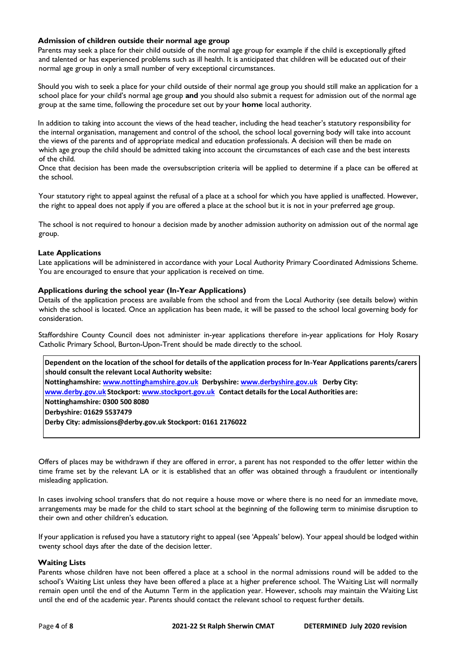# **Admission of children outside their normal age group**

Parents may seek a place for their child outside of the normal age group for example if the child is exceptionally gifted and talented or has experienced problems such as ill health. It is anticipated that children will be educated out of their normal age group in only a small number of very exceptional circumstances.

Should you wish to seek a place for your child outside of their normal age group you should still make an application for a school place for your child's normal age group **and** you should also submit a request for admission out of the normal age group at the same time, following the procedure set out by your **home** local authority.

In addition to taking into account the views of the head teacher, including the head teacher's statutory responsibility for the internal organisation, management and control of the school, the school local governing body will take into account the views of the parents and of appropriate medical and education professionals. A decision will then be made on which age group the child should be admitted taking into account the circumstances of each case and the best interests of the child.

Once that decision has been made the oversubscription criteria will be applied to determine if a place can be offered at the school.

Your statutory right to appeal against the refusal of a place at a school for which you have applied is unaffected. However, the right to appeal does not apply if you are offered a place at the school but it is not in your preferred age group.

The school is not required to honour a decision made by another admission authority on admission out of the normal age group.

# **Late Applications**

Late applications will be administered in accordance with your Local Authority Primary Coordinated Admissions Scheme. You are encouraged to ensure that your application is received on time.

## **Applications during the school year (In-Year Applications)**

Details of the application process are available from the school and from the Local Authority (see details below) within which the school is located. Once an application has been made, it will be passed to the school local governing body for consideration.

Staffordshire County Council does not administer in-year applications therefore in-year applications for Holy Rosary Catholic Primary School, Burton-Upon-Trent should be made directly to the school.

**Dependent on the location of the school for details of the application process for In-Year Applications parents/carers should consult the relevant Local Authority website: Nottinghamshir[e: www.nottinghamshire.gov.uk D](http://www.nottinghamshire.gov.uk/)erbyshir[e: www.derbyshire.gov.uk D](http://www.derbyshire.gov.uk/)erby City: [www.derby.gov.uk](http://www.derby.gov.uk/) [St](http://www.derby.gov.uk/)ockpor[t: www.stockport.gov.uk C](http://www.stockport.gov.uk/)ontact details for the Local Authorities are: Nottinghamshire: 0300 500 8080 Derbyshire: 01629 5537479 Derby City: admissions@derby.gov.uk Stockport: 0161 2176022** 

Offers of places may be withdrawn if they are offered in error, a parent has not responded to the offer letter within the time frame set by the relevant LA or it is established that an offer was obtained through a fraudulent or intentionally misleading application.

In cases involving school transfers that do not require a house move or where there is no need for an immediate move, arrangements may be made for the child to start school at the beginning of the following term to minimise disruption to their own and other children's education.

If your application is refused you have a statutory right to appeal (see 'Appeals' below). Your appeal should be lodged within twenty school days after the date of the decision letter.

## **Waiting Lists**

Parents whose children have not been offered a place at a school in the normal admissions round will be added to the school's Waiting List unless they have been offered a place at a higher preference school. The Waiting List will normally remain open until the end of the Autumn Term in the application year. However, schools may maintain the Waiting List until the end of the academic year. Parents should contact the relevant school to request further details.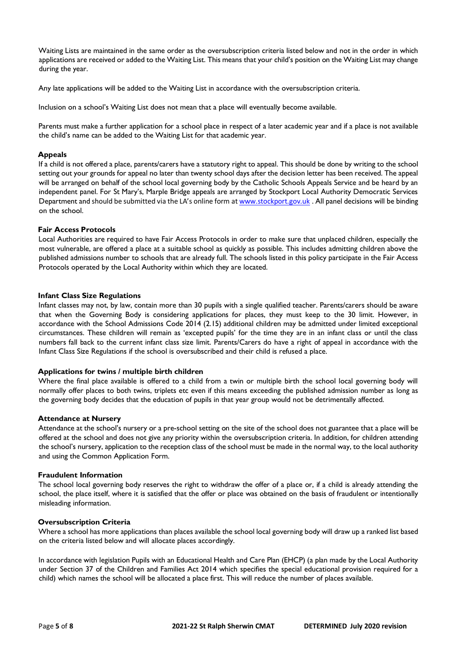Waiting Lists are maintained in the same order as the oversubscription criteria listed below and not in the order in which applications are received or added to the Waiting List. This means that your child's position on the Waiting List may change during the year.

Any late applications will be added to the Waiting List in accordance with the oversubscription criteria.

Inclusion on a school's Waiting List does not mean that a place will eventually become available.

Parents must make a further application for a school place in respect of a later academic year and if a place is not available the child's name can be added to the Waiting List for that academic year.

### **Appeals**

If a child is not offered a place, parents/carers have a statutory right to appeal. This should be done by writing to the school setting out your grounds for appeal no later than twenty school days after the decision letter has been received. The appeal will be arranged on behalf of the school local governing body by the Catholic Schools Appeals Service and be heard by an independent panel. For St Mary's, Marple Bridge appeals are arranged by Stockport Local Authority Democratic Services Department and should be submitted via the LA's online form a[t www.stockport.gov.uk](http://www.stockport.gov.uk/)[.](http://www.stockport.gov.uk/) All panel decisions will be binding on the school.

### **Fair Access Protocols**

Local Authorities are required to have Fair Access Protocols in order to make sure that unplaced children, especially the most vulnerable, are offered a place at a suitable school as quickly as possible. This includes admitting children above the published admissions number to schools that are already full. The schools listed in this policy participate in the Fair Access Protocols operated by the Local Authority within which they are located.

### **Infant Class Size Regulations**

Infant classes may not, by law, contain more than 30 pupils with a single qualified teacher. Parents/carers should be aware that when the Governing Body is considering applications for places, they must keep to the 30 limit. However, in accordance with the School Admissions Code 2014 (2.15) additional children may be admitted under limited exceptional circumstances. These children will remain as 'excepted pupils' for the time they are in an infant class or until the class numbers fall back to the current infant class size limit. Parents/Carers do have a right of appeal in accordance with the Infant Class Size Regulations if the school is oversubscribed and their child is refused a place.

## **Applications for twins / multiple birth children**

Where the final place available is offered to a child from a twin or multiple birth the school local governing body will normally offer places to both twins, triplets etc even if this means exceeding the published admission number as long as the governing body decides that the education of pupils in that year group would not be detrimentally affected.

#### **Attendance at Nursery**

Attendance at the school's nursery or a pre-school setting on the site of the school does not guarantee that a place will be offered at the school and does not give any priority within the oversubscription criteria. In addition, for children attending the school's nursery, application to the reception class of the school must be made in the normal way, to the local authority and using the Common Application Form.

### **Fraudulent Information**

The school local governing body reserves the right to withdraw the offer of a place or, if a child is already attending the school, the place itself, where it is satisfied that the offer or place was obtained on the basis of fraudulent or intentionally misleading information.

#### **Oversubscription Criteria**

Where a school has more applications than places available the school local governing body will draw up a ranked list based on the criteria listed below and will allocate places accordingly.

In accordance with legislation Pupils with an Educational Health and Care Plan (EHCP) (a plan made by the Local Authority under Section 37 of the Children and Families Act 2014 which specifies the special educational provision required for a child) which names the school will be allocated a place first. This will reduce the number of places available.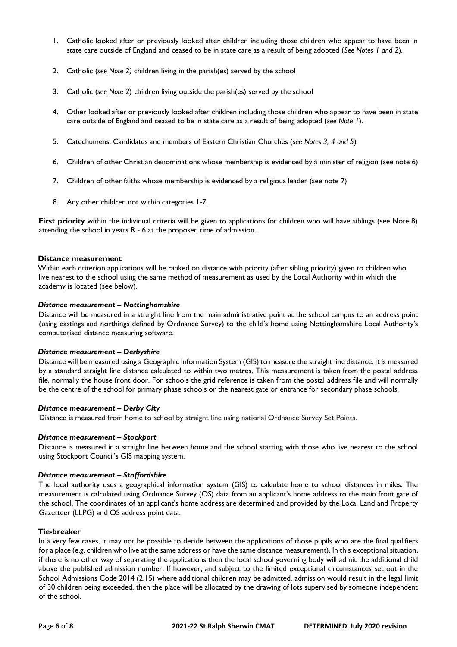- 1. Catholic looked after or previously looked after children including those children who appear to have been in state care outside of England and ceased to be in state care as a result of being adopted (*See Notes 1 and 2*).
- 2. Catholic (*see Note 2)* children living in the parish(es) served by the school
- 3. Catholic (*see Note 2*) children living outside the parish(es) served by the school
- 4. Other looked after or previously looked after children including those children who appear to have been in state care outside of England and ceased to be in state care as a result of being adopted (*see Note 1*).
- 5. Catechumens, Candidates and members of Eastern Christian Churches (*see Notes 3, 4 and 5*)
- 6. Children of other Christian denominations whose membership is evidenced by a minister of religion (see note 6)
- 7. Children of other faiths whose membership is evidenced by a religious leader (see note 7)
- 8. Any other children not within categories 1-7.

**First priority** within the individual criteria will be given to applications for children who will have siblings (see Note 8) attending the school in years R - 6 at the proposed time of admission.

## **Distance measurement**

Within each criterion applications will be ranked on distance with priority (after sibling priority) given to children who live nearest to the school using the same method of measurement as used by the Local Authority within which the academy is located (see below).

## *Distance measurement – Nottinghamshire*

Distance will be measured in a straight line from the main administrative point at the school campus to an address point (using eastings and northings defined by Ordnance Survey) to the child's home using Nottinghamshire Local Authority's computerised distance measuring software.

## *Distance measurement – Derbyshire*

Distance will be measured using a Geographic Information System (GIS) to measure the straight line distance. It is measured by a standard straight line distance calculated to within two metres. This measurement is taken from the postal address file, normally the house front door. For schools the grid reference is taken from the postal address file and will normally be the centre of the school for primary phase schools or the nearest gate or entrance for secondary phase schools.

## *Distance measurement – Derby City*

Distance is measured from home to school by straight line using national Ordnance Survey Set Points.

## *Distance measurement – Stockport*

Distance is measured in a straight line between home and the school starting with those who live nearest to the school using Stockport Council's GIS mapping system.

## *Distance measurement – Staffordshire*

The local authority uses a geographical information system (GIS) to calculate home to school distances in miles. The measurement is calculated using Ordnance Survey (OS) data from an applicant's home address to the main front gate of the school. The coordinates of an applicant's home address are determined and provided by the Local Land and Property Gazetteer (LLPG) and OS address point data.

## **Tie-breaker**

In a very few cases, it may not be possible to decide between the applications of those pupils who are the final qualifiers for a place (e.g. children who live at the same address or have the same distance measurement). In this exceptional situation, if there is no other way of separating the applications then the local school governing body will admit the additional child above the published admission number. If however, and subject to the limited exceptional circumstances set out in the School Admissions Code 2014 (2.15) where additional children may be admitted, admission would result in the legal limit of 30 children being exceeded, then the place will be allocated by the drawing of lots supervised by someone independent of the school.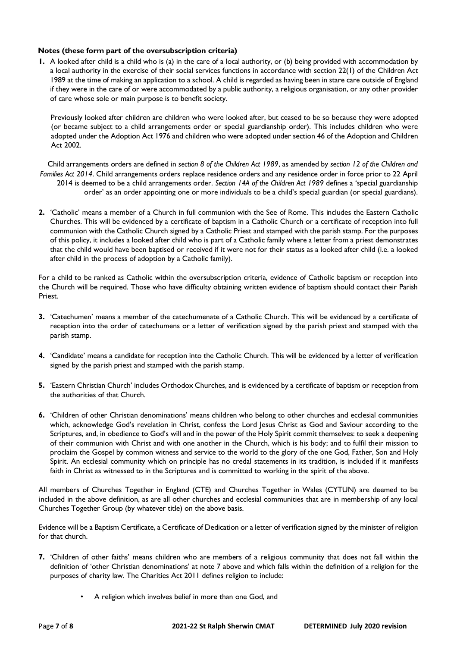# **Notes (these form part of the oversubscription criteria)**

**1.** A looked after child is a child who is (a) in the care of a local authority, or (b) being provided with accommodation by a local authority in the exercise of their social services functions in accordance with section 22(1) of the Children Act 1989 at the time of making an application to a school. A child is regarded as having been in stare care outside of England if they were in the care of or were accommodated by a public authority, a religious organisation, or any other provider of care whose sole or main purpose is to benefit society.

Previously looked after children are children who were looked after, but ceased to be so because they were adopted (or became subject to a child arrangements order or special guardianship order). This includes children who were adopted under the Adoption Act 1976 and children who were adopted under section 46 of the Adoption and Children Act 2002.

Child arrangements orders are defined in *section 8 of the Children Act 1989*, as amended by *section 12 of the Children and Families Act 2014*. Child arrangements orders replace residence orders and any residence order in force prior to 22 April 2014 is deemed to be a child arrangements order. *Section 14A of the Children Act 1989* defines a 'special guardianship order' as an order appointing one or more individuals to be a child's special guardian (or special guardians).

**2.** 'Catholic' means a member of a Church in full communion with the See of Rome. This includes the Eastern Catholic Churches. This will be evidenced by a certificate of baptism in a Catholic Church or a certificate of reception into full communion with the Catholic Church signed by a Catholic Priest and stamped with the parish stamp. For the purposes of this policy, it includes a looked after child who is part of a Catholic family where a letter from a priest demonstrates that the child would have been baptised or received if it were not for their status as a looked after child (i.e. a looked after child in the process of adoption by a Catholic family).

For a child to be ranked as Catholic within the oversubscription criteria, evidence of Catholic baptism or reception into the Church will be required. Those who have difficulty obtaining written evidence of baptism should contact their Parish Priest.

- **3.** 'Catechumen' means a member of the catechumenate of a Catholic Church. This will be evidenced by a certificate of reception into the order of catechumens or a letter of verification signed by the parish priest and stamped with the parish stamp.
- **4.** 'Candidate' means a candidate for reception into the Catholic Church. This will be evidenced by a letter of verification signed by the parish priest and stamped with the parish stamp.
- **5.** 'Eastern Christian Church' includes Orthodox Churches, and is evidenced by a certificate of baptism or reception from the authorities of that Church.
- **6.** 'Children of other Christian denominations' means children who belong to other churches and ecclesial communities which, acknowledge God's revelation in Christ, confess the Lord Jesus Christ as God and Saviour according to the Scriptures, and, in obedience to God's will and in the power of the Holy Spirit commit themselves: to seek a deepening of their communion with Christ and with one another in the Church, which is his body; and to fulfil their mission to proclaim the Gospel by common witness and service to the world to the glory of the one God, Father, Son and Holy Spirit. An ecclesial community which on principle has no credal statements in its tradition, is included if it manifests faith in Christ as witnessed to in the Scriptures and is committed to working in the spirit of the above.

All members of Churches Together in England (CTE) and Churches Together in Wales (CYTUN) are deemed to be included in the above definition, as are all other churches and ecclesial communities that are in membership of any local Churches Together Group (by whatever title) on the above basis.

Evidence will be a Baptism Certificate, a Certificate of Dedication or a letter of verification signed by the minister of religion for that church.

- **7.** 'Children of other faiths' means children who are members of a religious community that does not fall within the definition of 'other Christian denominations' at note 7 above and which falls within the definition of a religion for the purposes of charity law. The Charities Act 2011 defines religion to include:
	- A religion which involves belief in more than one God, and